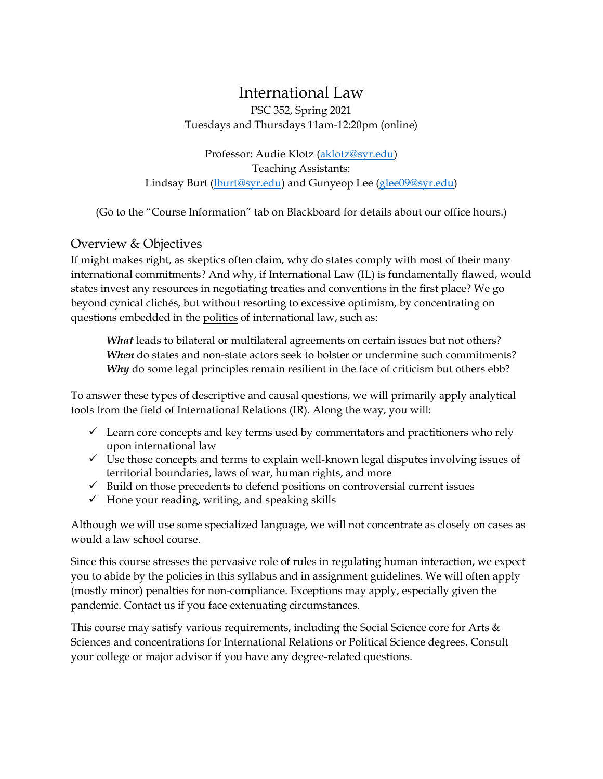# International Law

PSC 352, Spring 2021 Tuesdays and Thursdays 11am-12:20pm (online)

Professor: Audie Klotz [\(aklotz@syr.edu\)](mailto:aklotz@maxwell.syr.edu) Teaching Assistants: Lindsay Burt [\(lburt@syr.edu\)](mailto:lburt@syr.edu) and Gunyeop Lee [\(glee09@syr.edu\)](mailto:glee09@syr.edu)

(Go to the "Course Information" tab on Blackboard for details about our office hours.)

# Overview & Objectives

If might makes right, as skeptics often claim, why do states comply with most of their many international commitments? And why, if International Law (IL) is fundamentally flawed, would states invest any resources in negotiating treaties and conventions in the first place? We go beyond cynical clichés, but without resorting to excessive optimism, by concentrating on questions embedded in the politics of international law, such as:

*What* leads to bilateral or multilateral agreements on certain issues but not others? *When* do states and non-state actors seek to bolster or undermine such commitments? *Why* do some legal principles remain resilient in the face of criticism but others ebb?

To answer these types of descriptive and causal questions, we will primarily apply analytical tools from the field of International Relations (IR). Along the way, you will:

- $\checkmark$  Learn core concepts and key terms used by commentators and practitioners who rely upon international law
- $\checkmark$  Use those concepts and terms to explain well-known legal disputes involving issues of territorial boundaries, laws of war, human rights, and more
- $\checkmark$  Build on those precedents to defend positions on controversial current issues
- $\checkmark$  Hone your reading, writing, and speaking skills

Although we will use some specialized language, we will not concentrate as closely on cases as would a law school course.

Since this course stresses the pervasive role of rules in regulating human interaction, we expect you to abide by the policies in this syllabus and in assignment guidelines. We will often apply (mostly minor) penalties for non-compliance. Exceptions may apply, especially given the pandemic. Contact us if you face extenuating circumstances.

This course may satisfy various requirements, including the Social Science core for Arts  $\&$ Sciences and concentrations for International Relations or Political Science degrees. Consult your college or major advisor if you have any degree-related questions.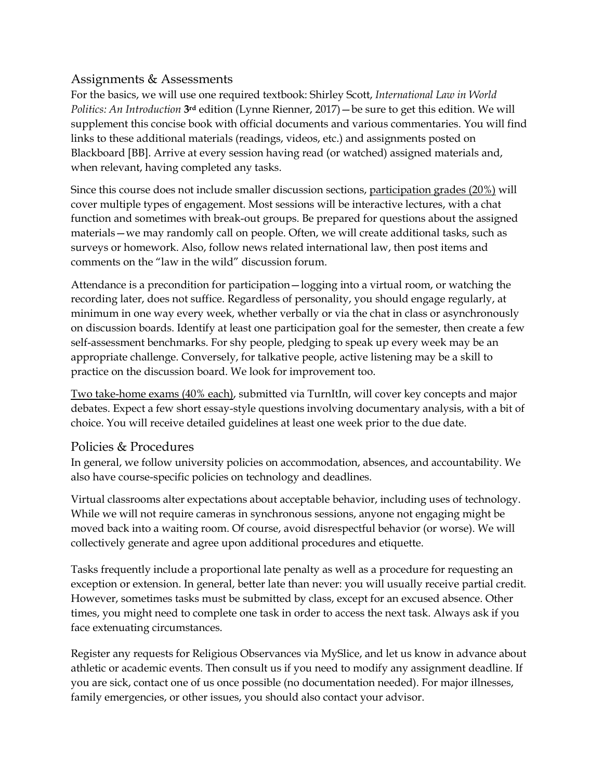# Assignments & Assessments

For the basics, we will use one required textbook: Shirley Scott, *International Law in World Politics: An Introduction* **3rd** edition (Lynne Rienner, 2017)—be sure to get this edition. We will supplement this concise book with official documents and various commentaries. You will find links to these additional materials (readings, videos, etc.) and assignments posted on Blackboard [BB]. Arrive at every session having read (or watched) assigned materials and, when relevant, having completed any tasks.

Since this course does not include smaller discussion sections, participation grades (20%) will cover multiple types of engagement. Most sessions will be interactive lectures, with a chat function and sometimes with break-out groups. Be prepared for questions about the assigned materials—we may randomly call on people. Often, we will create additional tasks, such as surveys or homework. Also, follow news related international law, then post items and comments on the "law in the wild" discussion forum.

Attendance is a precondition for participation—logging into a virtual room, or watching the recording later, does not suffice. Regardless of personality, you should engage regularly, at minimum in one way every week, whether verbally or via the chat in class or asynchronously on discussion boards. Identify at least one participation goal for the semester, then create a few self-assessment benchmarks. For shy people, pledging to speak up every week may be an appropriate challenge. Conversely, for talkative people, active listening may be a skill to practice on the discussion board. We look for improvement too.

Two take-home exams (40% each), submitted via TurnItIn, will cover key concepts and major debates. Expect a few short essay-style questions involving documentary analysis, with a bit of choice. You will receive detailed guidelines at least one week prior to the due date.

# Policies & Procedures

In general, we follow university policies on accommodation, absences, and accountability. We also have course-specific policies on technology and deadlines.

Virtual classrooms alter expectations about acceptable behavior, including uses of technology. While we will not require cameras in synchronous sessions, anyone not engaging might be moved back into a waiting room. Of course, avoid disrespectful behavior (or worse). We will collectively generate and agree upon additional procedures and etiquette.

Tasks frequently include a proportional late penalty as well as a procedure for requesting an exception or extension. In general, better late than never: you will usually receive partial credit. However, sometimes tasks must be submitted by class, except for an excused absence. Other times, you might need to complete one task in order to access the next task. Always ask if you face extenuating circumstances.

Register any requests for Religious Observances via MySlice, and let us know in advance about athletic or academic events. Then consult us if you need to modify any assignment deadline. If you are sick, contact one of us once possible (no documentation needed). For major illnesses, family emergencies, or other issues, you should also contact your advisor.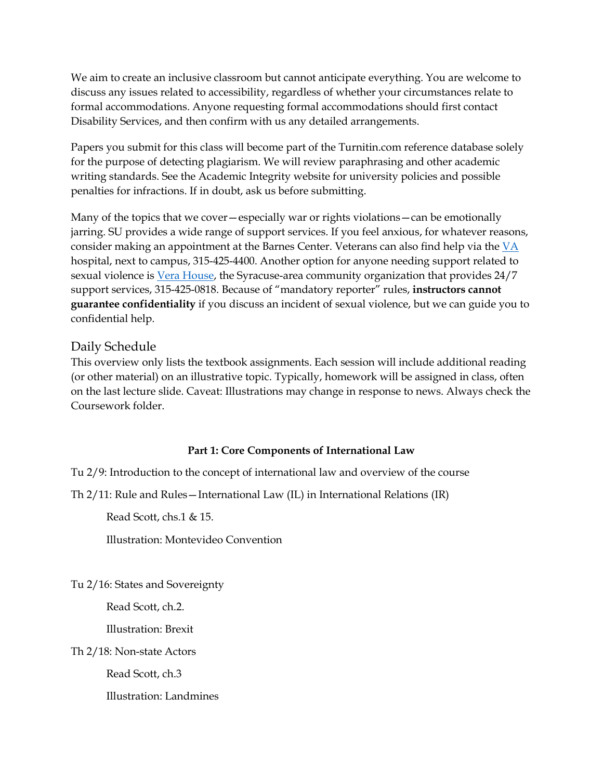We aim to create an inclusive classroom but cannot anticipate everything. You are welcome to discuss any issues related to accessibility, regardless of whether your circumstances relate to formal accommodations. Anyone requesting formal accommodations should first contact Disability Services, and then confirm with us any detailed arrangements.

Papers you submit for this class will become part of the Turnitin.com reference database solely for the purpose of detecting plagiarism. We will review paraphrasing and other academic writing standards. See the Academic Integrity website for university policies and possible penalties for infractions. If in doubt, ask us before submitting.

Many of the topics that we cover—especially war or rights violations—can be emotionally jarring. SU provides a wide range of support services. If you feel anxious, for whatever reasons, consider making an appointment at the Barnes Center. Veterans can also find help via the  $VA$ hospital, next to campus, 315-425-4400. Another option for anyone needing support related to sexual violence is [Vera House,](http://www.verahouse.org/programs-and-services/vera-house-programs) the Syracuse-area community organization that provides 24/7 support services, 315-425-0818. Because of "mandatory reporter" rules, **instructors cannot guarantee confidentiality** if you discuss an incident of sexual violence, but we can guide you to confidential help.

# Daily Schedule

This overview only lists the textbook assignments. Each session will include additional reading (or other material) on an illustrative topic. Typically, homework will be assigned in class, often on the last lecture slide. Caveat: Illustrations may change in response to news. Always check the Coursework folder.

## **Part 1: Core Components of International Law**

Tu 2/9: Introduction to the concept of international law and overview of the course

Th 2/11: Rule and Rules—International Law (IL) in International Relations (IR)

Read Scott, chs.1 & 15.

Illustration: Montevideo Convention

Tu 2/16: States and Sovereignty

Read Scott, ch.2.

Illustration: Brexit

Th 2/18: Non-state Actors

Read Scott, ch.3

Illustration: Landmines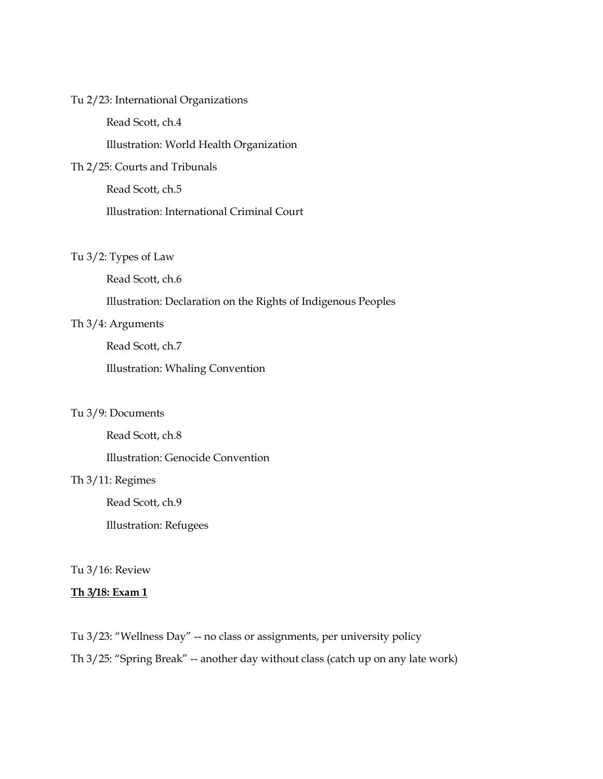### Tu 2/23: International Organizations

Read Scott, ch.4

Illustration: World Health Organization

## Th 2/25: Courts and Tribunals

Read Scott, ch.5

Illustration: International Criminal Court

### Tu 3/2: Types of Law

Read Scott, ch.6

Illustration: Declaration on the Rights of Indigenous Peoples

# Th 3/4: Arguments

Read Scott, ch.7

Illustration: Whaling Convention

### Tu 3/9: Documents

Read Scott, ch.8

Illustration: Genocide Convention

# Th 3/11: Regimes

Read Scott, ch.9

Illustration: Refugees

### Tu 3/16: Review

#### **Th 3/18: Exam 1**

Tu 3/23: "Wellness Day" -- no class or assignments, per university policy

Th 3/25: "Spring Break" -- another day without class (catch up on any late work)